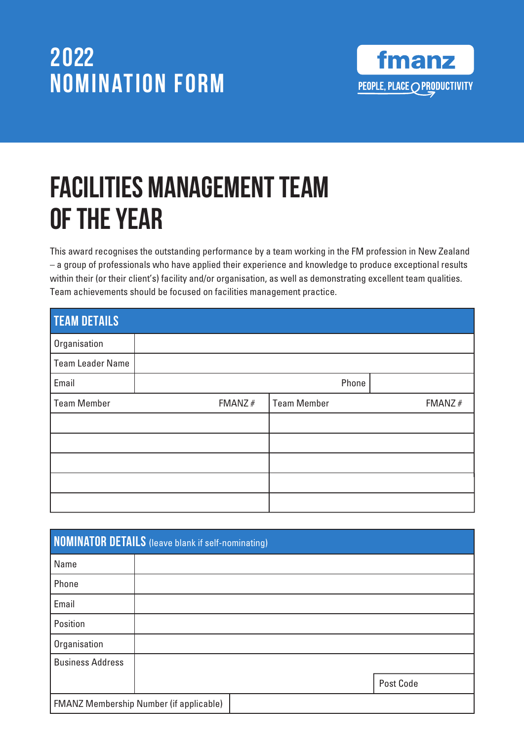

# Facilities Management Team of the Year

This award recognises the outstanding performance by a team working in the FM profession in New Zealand – a group of professionals who have applied their experience and knowledge to produce exceptional results within their (or their client's) facility and/or organisation, as well as demonstrating excellent team qualities. Team achievements should be focused on facilities management practice.

| <b>TEAM DETAILS</b>     |           |             |           |
|-------------------------|-----------|-------------|-----------|
| Organisation            |           |             |           |
| <b>Team Leader Name</b> |           |             |           |
| Email                   |           | Phone       |           |
| <b>Team Member</b>      | FMANZ $#$ | Team Member | FMANZ $#$ |
|                         |           |             |           |
|                         |           |             |           |
|                         |           |             |           |
|                         |           |             |           |
|                         |           |             |           |

|                         | <b>NOMINATOR DETAILS</b> (leave blank if self-nominating) |           |
|-------------------------|-----------------------------------------------------------|-----------|
| Name                    |                                                           |           |
| Phone                   |                                                           |           |
| Email                   |                                                           |           |
| Position                |                                                           |           |
| Organisation            |                                                           |           |
| <b>Business Address</b> |                                                           |           |
|                         |                                                           | Post Code |
|                         | <b>FMANZ Membership Number (if applicable)</b>            |           |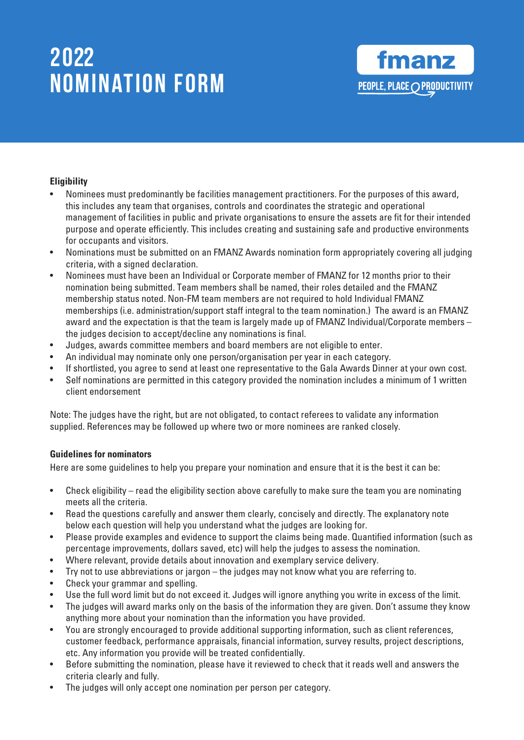#### **Eligibility**

- Nominees must predominantly be facilities management practitioners. For the purposes of this award, this includes any team that organises, controls and coordinates the strategic and operational management of facilities in public and private organisations to ensure the assets are fit for their intended purpose and operate efficiently. This includes creating and sustaining safe and productive environments for occupants and visitors.
- Nominations must be submitted on an FMANZ Awards nomination form appropriately covering all judging criteria, with a signed declaration.
- Nominees must have been an Individual or Corporate member of FMANZ for 12 months prior to their nomination being submitted. Team members shall be named, their roles detailed and the FMANZ membership status noted. Non-FM team members are not required to hold Individual FMANZ memberships (i.e. administration/support staff integral to the team nomination.) The award is an FMANZ award and the expectation is that the team is largely made up of FMANZ Individual/Corporate members – the judges decision to accept/decline any nominations is final.
- Judges, awards committee members and board members are not eligible to enter.
- An individual may nominate only one person/organisation per year in each category.
- If shortlisted, you agree to send at least one representative to the Gala Awards Dinner at your own cost.
- Self nominations are permitted in this category provided the nomination includes a minimum of 1 written client endorsement

Note: The judges have the right, but are not obligated, to contact referees to validate any information supplied. References may be followed up where two or more nominees are ranked closely.

#### **Guidelines for nominators**

Here are some guidelines to help you prepare your nomination and ensure that it is the best it can be:

- Check eligibility read the eligibility section above carefully to make sure the team you are nominating meets all the criteria.
- Read the questions carefully and answer them clearly, concisely and directly. The explanatory note below each question will help you understand what the judges are looking for.
- Please provide examples and evidence to support the claims being made. Quantified information (such as percentage improvements, dollars saved, etc) will help the judges to assess the nomination.
- Where relevant, provide details about innovation and exemplary service delivery.
- Try not to use abbreviations or jargon the judges may not know what you are referring to.
- Check your grammar and spelling.
- Use the full word limit but do not exceed it. Judges will ignore anything you write in excess of the limit.
- The judges will award marks only on the basis of the information they are given. Don't assume they know anything more about your nomination than the information you have provided.
- You are strongly encouraged to provide additional supporting information, such as client references, customer feedback, performance appraisals, financial information, survey results, project descriptions, etc. Any information you provide will be treated confidentially.
- Before submitting the nomination, please have it reviewed to check that it reads well and answers the criteria clearly and fully.
- The judges will only accept one nomination per person per category.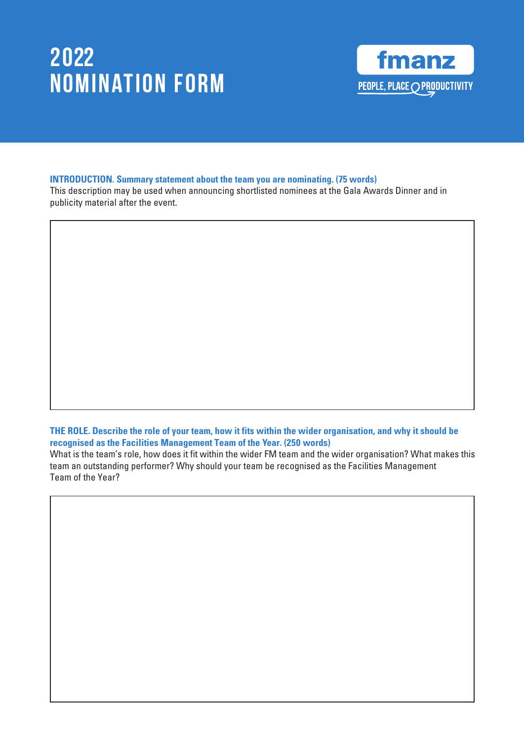

#### **INTRODUCTION. Summary statement about the team you are nominating. (75 words)**

This description may be used when announcing shortlisted nominees at the Gala Awards Dinner and in publicity material after the event.

**THE ROLE. Describe the role of your team, how it fits within the wider organisation, and why it should be recognised as the Facilities Management Team of the Year. (250 words)** 

What is the team's role, how does it fit within the wider FM team and the wider organisation? What makes this team an outstanding performer? Why should your team be recognised as the Facilities Management Team of the Year?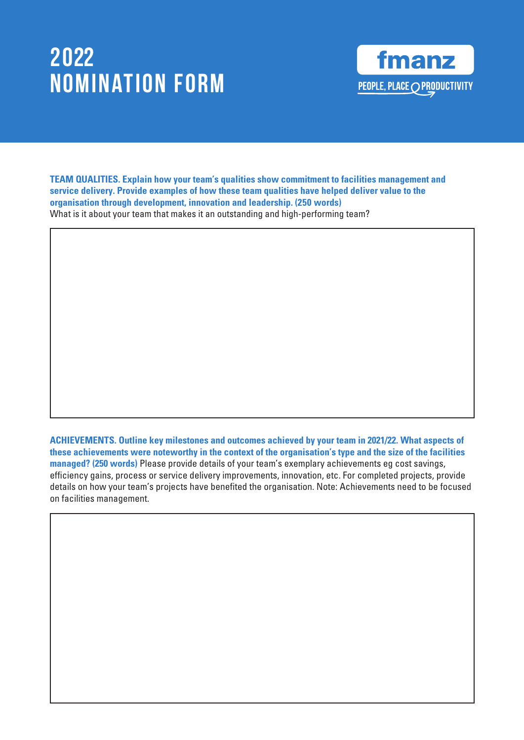

**TEAM QUALITIES. Explain how your team's qualities show commitment to facilities management and service delivery. Provide examples of how these team qualities have helped deliver value to the organisation through development, innovation and leadership. (250 words)**

What is it about your team that makes it an outstanding and high-performing team?

**ACHIEVEMENTS. Outline key milestones and outcomes achieved by your team in 2021/22. What aspects of these achievements were noteworthy in the context of the organisation's type and the size of the facilities managed? (250 words)** Please provide details of your team's exemplary achievements eg cost savings, efficiency gains, process or service delivery improvements, innovation, etc. For completed projects, provide details on how your team's projects have benefited the organisation. Note: Achievements need to be focused on facilities management.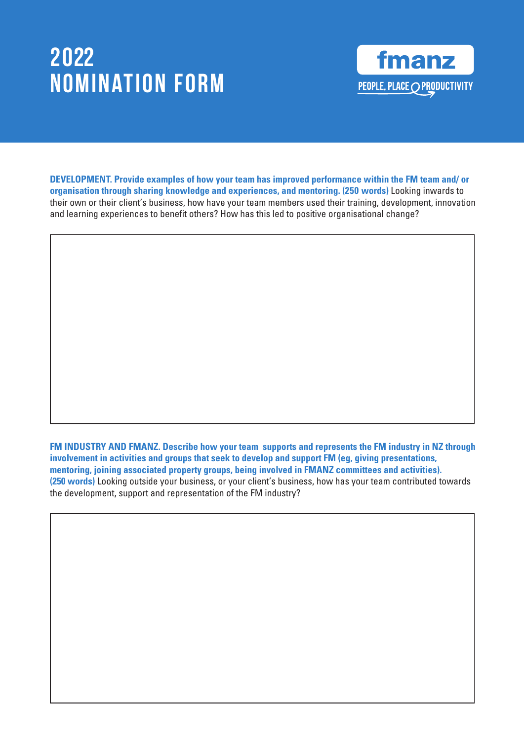

**DEVELOPMENT. Provide examples of how your team has improved performance within the FM team and/ or organisation through sharing knowledge and experiences, and mentoring. (250 words)** Looking inwards to their own or their client's business, how have your team members used their training, development, innovation and learning experiences to benefit others? How has this led to positive organisational change?

**FM INDUSTRY AND FMANZ. Describe how your team supports and represents the FM industry in NZ through involvement in activities and groups that seek to develop and support FM (eg, giving presentations, mentoring, joining associated property groups, being involved in FMANZ committees and activities). (250 words)** Looking outside your business, or your client's business, how has your team contributed towards the development, support and representation of the FM industry?